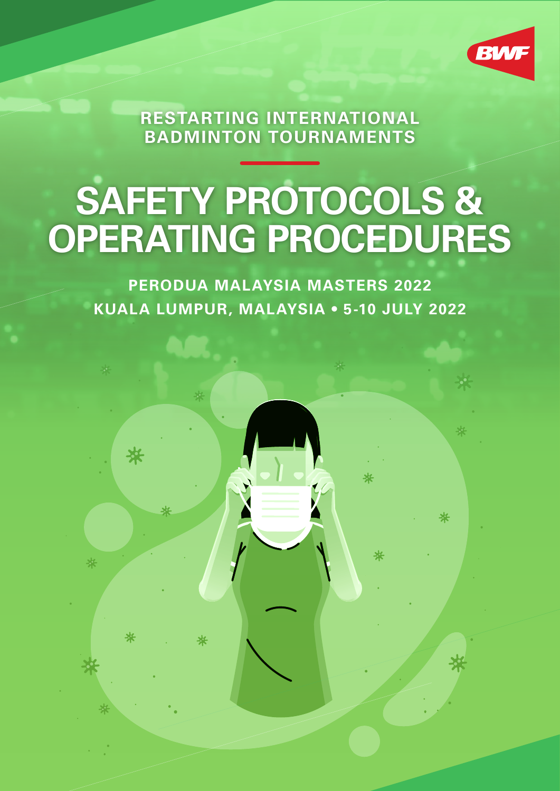

**RESTARTING INTERNATIONAL BADMINTON TOURNAMENTS**

# **SAFETY PROTOCOLS & OPERATING PROCEDURES**

**PERODUA MALAYSIA MASTERS 2022 KUALA LUMPUR, MALAYSIA • 5-10 JULY 2022**

₩

₩

米

\*

米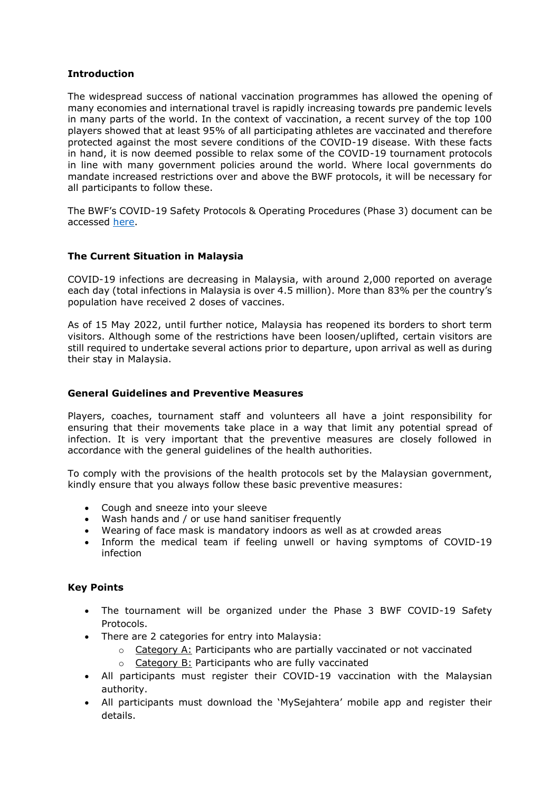# **Introduction**

The widespread success of national vaccination programmes has allowed the opening of many economies and international travel is rapidly increasing towards pre pandemic levels in many parts of the world. In the context of vaccination, a recent survey of the top 100 players showed that at least 95% of all participating athletes are vaccinated and therefore protected against the most severe conditions of the COVID-19 disease. With these facts in hand, it is now deemed possible to relax some of the COVID-19 tournament protocols in line with many government policies around the world. Where local governments do mandate increased restrictions over and above the BWF protocols, it will be necessary for all participants to follow these.

The BWF's COVID-19 Safety Protocols & Operating Procedures (Phase 3) document can be accessed [here.](https://extranet.bwfbadminton.com/docs/document-system/81/140/3151/Restarting%20International%20Badminton%20Tournaments%20-%20Safety%20Protocols%20Operating%20Procedure%202022%20-%20PHASE%203.pdf)

## **The Current Situation in Malaysia**

COVID-19 infections are decreasing in Malaysia, with around 2,000 reported on average each day (total infections in Malaysia is over 4.5 million). More than 83% per the country's population have received 2 doses of vaccines.

As of 15 May 2022, until further notice, Malaysia has reopened its borders to short term visitors. Although some of the restrictions have been loosen/uplifted, certain visitors are still required to undertake several actions prior to departure, upon arrival as well as during their stay in Malaysia.

### **General Guidelines and Preventive Measures**

Players, coaches, tournament staff and volunteers all have a joint responsibility for ensuring that their movements take place in a way that limit any potential spread of infection. It is very important that the preventive measures are closely followed in accordance with the general guidelines of the health authorities.

To comply with the provisions of the health protocols set by the Malaysian government, kindly ensure that you always follow these basic preventive measures:

- Cough and sneeze into your sleeve
- Wash hands and / or use hand sanitiser frequently
- Wearing of face mask is mandatory indoors as well as at crowded areas
- Inform the medical team if feeling unwell or having symptoms of COVID-19 infection

#### **Key Points**

- The tournament will be organized under the Phase 3 BWF COVID-19 Safety Protocols.
- There are 2 categories for entry into Malaysia:
	- $\circ$  Category A: Participants who are partially vaccinated or not vaccinated
	- o Category B: Participants who are fully vaccinated
- All participants must register their COVID-19 vaccination with the Malaysian authority.
- All participants must download the 'MySejahtera' mobile app and register their details.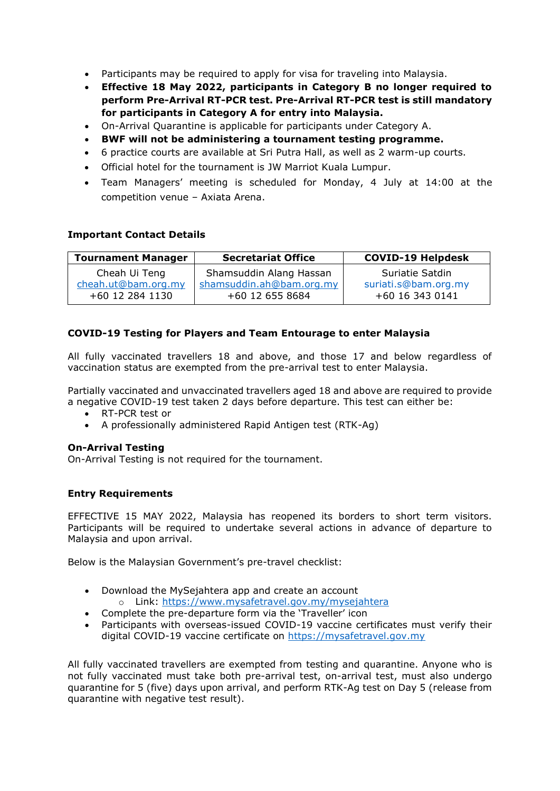- Participants may be required to apply for visa for traveling into Malaysia.
- **Effective 18 May 2022, participants in Category B no longer required to perform Pre-Arrival RT-PCR test. Pre-Arrival RT-PCR test is still mandatory for participants in Category A for entry into Malaysia.**
- On-Arrival Quarantine is applicable for participants under Category A.
- **BWF will not be administering a tournament testing programme.**
- 6 practice courts are available at Sri Putra Hall, as well as 2 warm-up courts.
- Official hotel for the tournament is JW Marriot Kuala Lumpur.
- Team Managers' meeting is scheduled for Monday, 4 July at 14:00 at the competition venue – Axiata Arena.

## **Important Contact Details**

| <b>Tournament Manager</b> | <b>Secretariat Office</b> | <b>COVID-19 Helpdesk</b> |
|---------------------------|---------------------------|--------------------------|
| Cheah Ui Teng             | Shamsuddin Alang Hassan   | Suriatie Satdin          |
| cheah.ut@bam.org.my       | shamsuddin.ah@bam.org.my  | suriati.s@bam.org.my     |
| +60 12 284 1130           | +60 12 655 8684           | +60 16 343 0141          |

# **COVID-19 Testing for Players and Team Entourage to enter Malaysia**

All fully vaccinated travellers 18 and above, and those 17 and below regardless of vaccination status are exempted from the pre-arrival test to enter Malaysia.

Partially vaccinated and unvaccinated travellers aged 18 and above are required to provide a negative COVID-19 test taken 2 days before departure. This test can either be:

- RT-PCR test or
- A professionally administered Rapid Antigen test (RTK-Ag)

#### **On-Arrival Testing**

On-Arrival Testing is not required for the tournament.

# **Entry Requirements**

EFFECTIVE 15 MAY 2022, Malaysia has reopened its borders to short term visitors. Participants will be required to undertake several actions in advance of departure to Malaysia and upon arrival.

Below is the Malaysian Government's pre-travel checklist:

- Download the MySejahtera app and create an account o Link:<https://www.mysafetravel.gov.my/mysejahtera>
- Complete the pre-departure form via the 'Traveller' icon
- Participants with overseas-issued COVID-19 vaccine certificates must verify their digital COVID-19 vaccine certificate on [https://mysafetravel.gov.my](https://mysafetravel.gov.my/)

All fully vaccinated travellers are exempted from testing and quarantine. Anyone who is not fully vaccinated must take both pre-arrival test, on-arrival test, must also undergo quarantine for 5 (five) days upon arrival, and perform RTK-Ag test on Day 5 (release from quarantine with negative test result).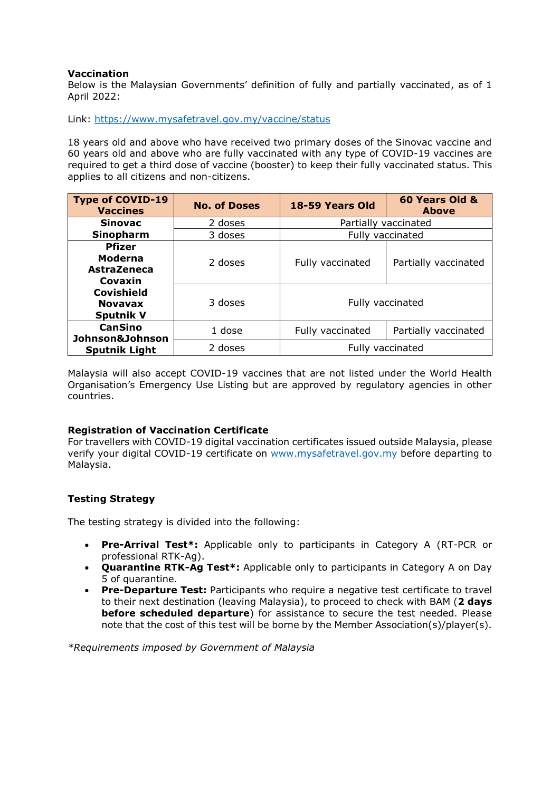## **Vaccination**

Below is the Malaysian Governments' definition of fully and partially vaccinated, as of 1 April 2022:

Link:<https://www.mysafetravel.gov.my/vaccine/status>

18 years old and above who have received two primary doses of the Sinovac vaccine and 60 years old and above who are fully vaccinated with any type of COVID-19 vaccines are required to get a third dose of vaccine (booster) to keep their fully vaccinated status. This applies to all citizens and non-citizens.

| <b>Type of COVID-19</b><br><b>Vaccines</b>                | <b>No. of Doses</b> | 18-59 Years Old      | 60 Years Old &<br><b>Above</b> |
|-----------------------------------------------------------|---------------------|----------------------|--------------------------------|
| <b>Sinovac</b>                                            | 2 doses             | Partially vaccinated |                                |
| <b>Sinopharm</b>                                          | 3 doses             | Fully vaccinated     |                                |
| <b>Pfizer</b><br>Moderna<br><b>AstraZeneca</b><br>Covaxin | 2 doses             | Fully vaccinated     | Partially vaccinated           |
| <b>Covishield</b><br><b>Novavax</b><br><b>Sputnik V</b>   | 3 doses             | Fully vaccinated     |                                |
| <b>CanSino</b><br>Johnson&Johnson                         | 1 dose              | Fully vaccinated     | Partially vaccinated           |
| <b>Sputnik Light</b>                                      | 2 doses             | Fully vaccinated     |                                |

Malaysia will also accept COVID-19 vaccines that are not listed under the World Health Organisation's Emergency Use Listing but are approved by regulatory agencies in other countries.

#### **Registration of Vaccination Certificate**

For travellers with COVID-19 digital vaccination certificates issued outside Malaysia, please verify your digital COVID-19 certificate on [www.mysafetravel.gov.my](http://www.mysafetravel.gov.my/) before departing to Malaysia.

# **Testing Strategy**

The testing strategy is divided into the following:

- **Pre-Arrival Test\*:** Applicable only to participants in Category A (RT-PCR or professional RTK-Ag).
- **Quarantine RTK-Ag Test\*:** Applicable only to participants in Category A on Day 5 of quarantine.
- **Pre-Departure Test:** Participants who require a negative test certificate to travel to their next destination (leaving Malaysia), to proceed to check with BAM (**2 days before scheduled departure**) for assistance to secure the test needed. Please note that the cost of this test will be borne by the Member Association(s)/player(s).

*\*Requirements imposed by Government of Malaysia*